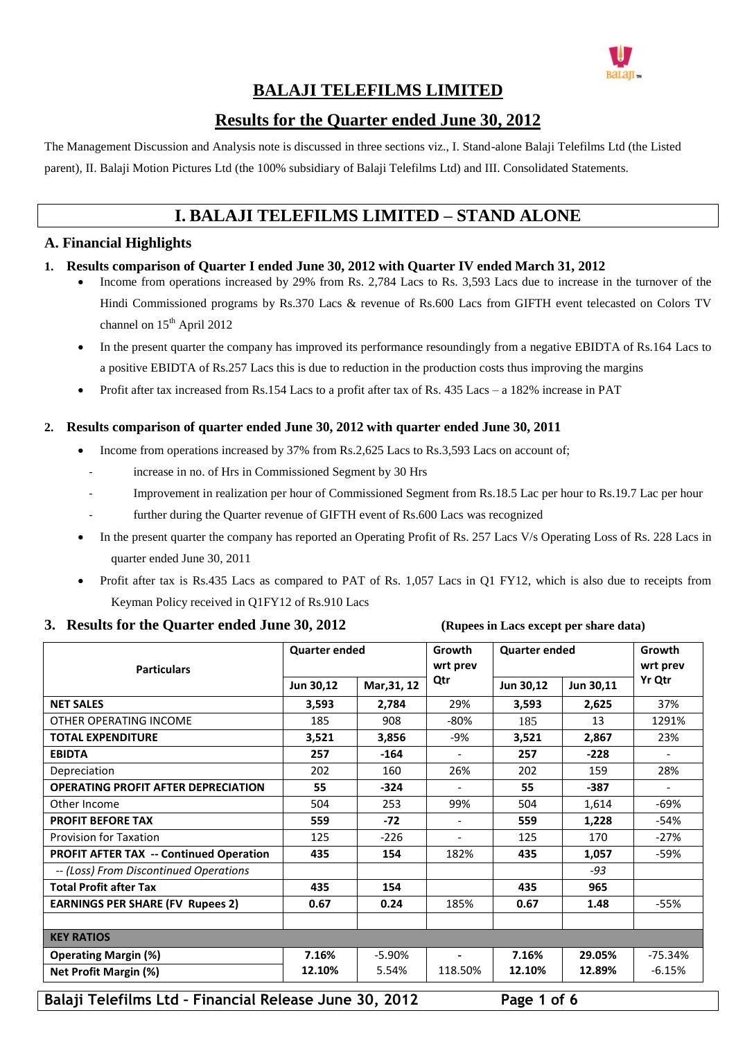

### **BALAJI TELEFILMS LIMITED**

#### **Results for the Quarter ended June 30, 2012**

The Management Discussion and Analysis note is discussed in three sections viz., I. Stand-alone Balaji Telefilms Ltd (the Listed parent), II. Balaji Motion Pictures Ltd (the 100% subsidiary of Balaji Telefilms Ltd) and III. Consolidated Statements.

## **I. BALAJI TELEFILMS LIMITED – STAND ALONE**

#### **A. Financial Highlights**

#### **1. Results comparison of Quarter I ended June 30, 2012 with Quarter IV ended March 31, 2012**

- Income from operations increased by 29% from Rs. 2,784 Lacs to Rs. 3,593 Lacs due to increase in the turnover of the Hindi Commissioned programs by Rs.370 Lacs & revenue of Rs.600 Lacs from GIFTH event telecasted on Colors TV channel on  $15<sup>th</sup>$  April 2012
- In the present quarter the company has improved its performance resoundingly from a negative EBIDTA of Rs.164 Lacs to a positive EBIDTA of Rs.257 Lacs this is due to reduction in the production costs thus improving the margins
- Profit after tax increased from Rs.154 Lacs to a profit after tax of Rs. 435 Lacs a 182% increase in PAT

#### **2. Results comparison of quarter ended June 30, 2012 with quarter ended June 30, 2011**

- Income from operations increased by 37% from Rs.2,625 Lacs to Rs.3,593 Lacs on account of;
	- increase in no. of Hrs in Commissioned Segment by 30 Hrs
	- Improvement in realization per hour of Commissioned Segment from Rs.18.5 Lac per hour to Rs.19.7 Lac per hour
	- further during the Quarter revenue of GIFTH event of Rs.600 Lacs was recognized
- In the present quarter the company has reported an Operating Profit of Rs. 257 Lacs V/s Operating Loss of Rs. 228 Lacs in quarter ended June 30, 2011
- Profit after tax is Rs.435 Lacs as compared to PAT of Rs. 1,057 Lacs in Q1 FY12, which is also due to receipts from Keyman Policy received in Q1FY12 of Rs.910 Lacs

#### **3. Results for the Quarter ended June 30, 2012 (Rupees in Lacs except per share data)**

| <b>Particulars</b>                             | <b>Quarter ended</b>     |          | <b>Growth</b><br>wrt prev | <b>Quarter ended</b>   |        | Growth<br>wrt prev       |  |
|------------------------------------------------|--------------------------|----------|---------------------------|------------------------|--------|--------------------------|--|
|                                                | Mar, 31, 12<br>Jun 30,12 |          | Qtr                       | Jun 30,12<br>Jun 30,11 |        | Yr Qtr                   |  |
| <b>NET SALES</b>                               | 3,593                    | 2,784    | 29%                       | 3,593                  | 2,625  | 37%                      |  |
| OTHER OPERATING INCOME                         | 185                      | 908      | -80%                      | 185                    | 13     | 1291%                    |  |
| <b>TOTAL EXPENDITURE</b>                       | 3,521                    | 3,856    | -9%                       | 3,521                  | 2,867  | 23%                      |  |
| <b>EBIDTA</b>                                  | 257                      | $-164$   | $\blacksquare$            | 257                    | $-228$ | $\overline{\phantom{a}}$ |  |
| Depreciation                                   | 202                      | 160      | 26%                       | 202                    | 159    | 28%                      |  |
| <b>OPERATING PROFIT AFTER DEPRECIATION</b>     | 55                       | $-324$   |                           | 55                     | $-387$ |                          |  |
| Other Income                                   | 504                      | 253      | 99%                       | 504                    | 1,614  | -69%                     |  |
| <b>PROFIT BEFORE TAX</b>                       | 559                      | $-72$    | $\overline{\phantom{a}}$  | 559                    | 1,228  | $-54%$                   |  |
| <b>Provision for Taxation</b>                  | 125                      | $-226$   | $\blacksquare$            | 125                    | 170    | $-27%$                   |  |
| <b>PROFIT AFTER TAX -- Continued Operation</b> | 435                      | 154      | 182%                      | 435                    | 1,057  | -59%                     |  |
| -- (Loss) From Discontinued Operations         |                          |          |                           |                        | $-93$  |                          |  |
| <b>Total Profit after Tax</b>                  | 435                      | 154      |                           | 435                    | 965    |                          |  |
| <b>EARNINGS PER SHARE (FV Rupees 2)</b>        | 0.67                     | 0.24     | 185%                      | 0.67                   | 1.48   | -55%                     |  |
| <b>KEY RATIOS</b>                              |                          |          |                           |                        |        |                          |  |
| <b>Operating Margin (%)</b>                    | 7.16%                    | $-5.90%$ | $\blacksquare$            | 7.16%                  | 29.05% | $-75.34%$                |  |
| <b>Net Profit Margin (%)</b>                   | 12.10%                   | 5.54%    | 118.50%                   | 12.10%                 | 12.89% | $-6.15%$                 |  |

**Balaji Telefilms Ltd – Financial Release June 30, 2012 Page 1 of 6**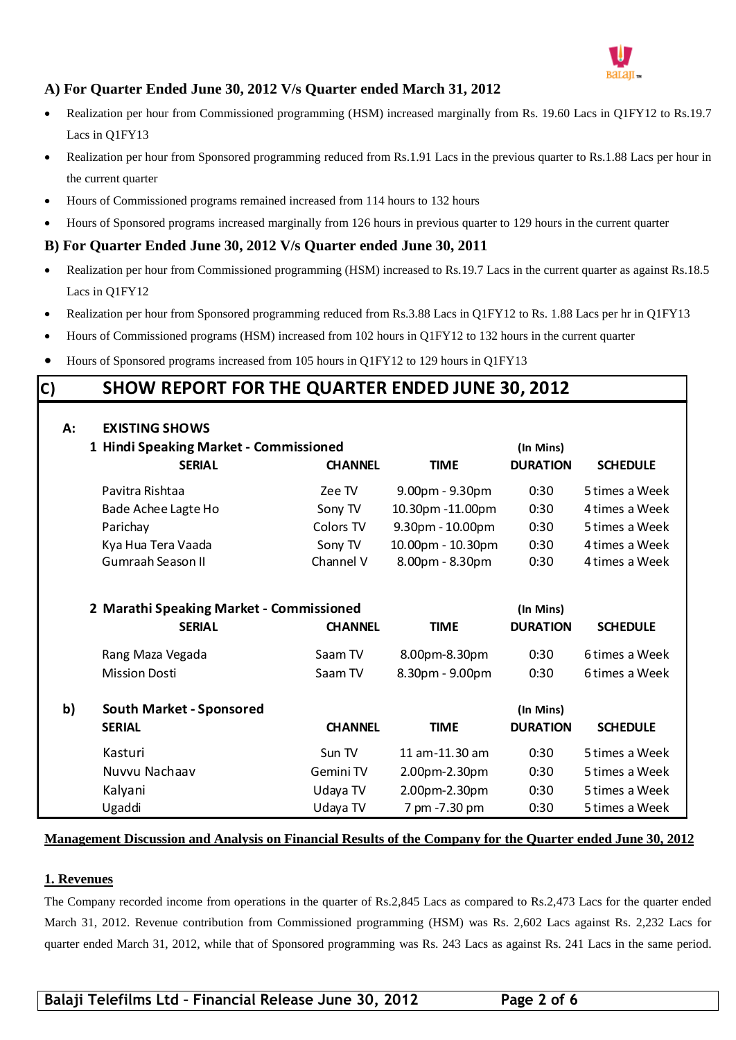

#### **A) For Quarter Ended June 30, 2012 V/s Quarter ended March 31, 2012**

- Realization per hour from Commissioned programming (HSM) increased marginally from Rs. 19.60 Lacs in Q1FY12 to Rs.19.7 Lacs in Q1FY13
- Realization per hour from Sponsored programming reduced from Rs.1.91 Lacs in the previous quarter to Rs.1.88 Lacs per hour in the current quarter
- Hours of Commissioned programs remained increased from 114 hours to 132 hours
- Hours of Sponsored programs increased marginally from 126 hours in previous quarter to 129 hours in the current quarter

#### **B) For Quarter Ended June 30, 2012 V/s Quarter ended June 30, 2011**

- Realization per hour from Commissioned programming (HSM) increased to Rs.19.7 Lacs in the current quarter as against Rs.18.5 Lacs in Q1FY12
- Realization per hour from Sponsored programming reduced from Rs.3.88 Lacs in Q1FY12 to Rs. 1.88 Lacs per hr in Q1FY13
- Hours of Commissioned programs (HSM) increased from 102 hours in Q1FY12 to 132 hours in the current quarter
- Hours of Sponsored programs increased from 105 hours in Q1FY12 to 129 hours in Q1FY13

# • Realization per hour from Sponsored programming reduced from Rs.3.88 Lacs in Q1FY12 to Rs. 1.88<br>
• Hours of Commissioned programs (HSM) increased from 102 hours in Q1FY12 to 132 hours in the commissioned programs increas

| A: | <b>EXISTING SHOWS</b>                    |                |                   |                              |                 |  |
|----|------------------------------------------|----------------|-------------------|------------------------------|-----------------|--|
|    | 1 Hindi Speaking Market - Commissioned   |                | (In Mins)         |                              |                 |  |
|    | <b>SERIAL</b><br><b>CHANNEL</b>          |                | <b>TIME</b>       | <b>DURATION</b>              | <b>SCHEDULE</b> |  |
|    | Pavitra Rishtaa                          | Zee TV         | 9.00pm - 9.30pm   | 0:30                         | 5 times a Week  |  |
|    | Bade Achee Lagte Ho                      | Sony TV        | 10.30pm -11.00pm  | 0:30                         | 4 times a Week  |  |
|    | Parichay                                 | Colors TV      | 9.30pm - 10.00pm  | 0:30                         | 5 times a Week  |  |
|    | Kya Hua Tera Vaada                       | Sony TV        | 10.00pm - 10.30pm | 0:30                         | 4 times a Week  |  |
|    | Gumraah Season II<br>Channel V           |                | 8.00pm - 8.30pm   | 0:30                         | 4 times a Week  |  |
|    |                                          |                |                   |                              |                 |  |
|    | 2 Marathi Speaking Market - Commissioned |                | (In Mins)         |                              |                 |  |
|    | <b>SERIAL</b>                            | <b>TIME</b>    | <b>DURATION</b>   | <b>SCHEDULE</b>              |                 |  |
|    | Rang Maza Vegada                         | Saam TV        | 8.00pm-8.30pm     | 0:30                         | 6 times a Week  |  |
|    | <b>Mission Dosti</b>                     | Saam TV        | 8.30pm - 9.00pm   | 0:30                         | 6 times a Week  |  |
| b) | <b>South Market - Sponsored</b>          |                |                   |                              |                 |  |
|    | <b>SERIAL</b>                            | <b>CHANNEL</b> | <b>TIME</b>       | (In Mins)<br><b>DURATION</b> | <b>SCHEDULE</b> |  |
|    |                                          |                |                   |                              |                 |  |
|    | Kasturi                                  | Sun TV         | 11 am-11.30 am    | 0:30                         | 5 times a Week  |  |
|    | Nuvvu Nachaav                            | Gemini TV      | 2.00pm-2.30pm     | 0:30                         | 5 times a Week  |  |
|    | Kalyani                                  | Udaya TV       | 2.00pm-2.30pm     | 0:30                         | 5 times a Week  |  |
|    | Ugaddi                                   | Udaya TV       | 7 pm -7.30 pm     | 0:30                         | 5 times a Week  |  |

#### **Management Discussion and Analysis on Financial Results of the Company for the Quarter ended June 30, 2012**

#### **1. Revenues**

The Company recorded income from operations in the quarter of Rs.2,845 Lacs as compared to Rs.2,473 Lacs for the quarter ended March 31, 2012. Revenue contribution from Commissioned programming (HSM) was Rs. 2,602 Lacs against Rs. 2,232 Lacs for quarter ended March 31, 2012, while that of Sponsored programming was Rs. 243 Lacs as against Rs. 241 Lacs in the same period.

**Balaji Telefilms Ltd – Financial Release June 30, 2012 Page 2 of 6**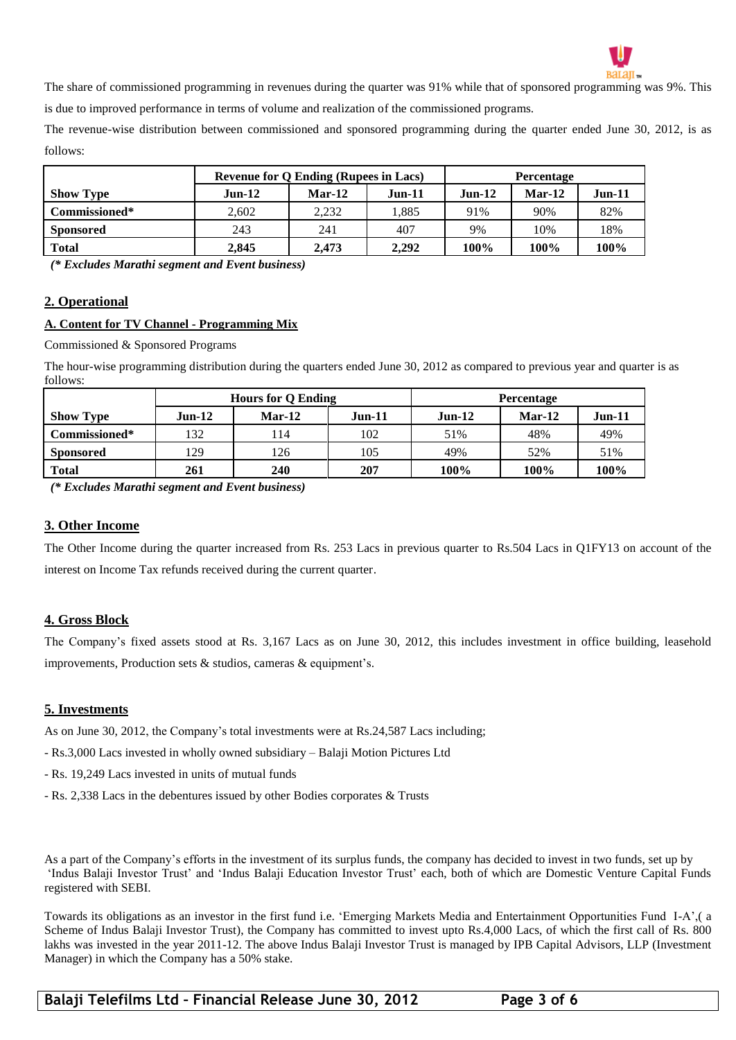

The share of commissioned programming in revenues during the quarter was 91% while that of sponsored programming was 9%. This is due to improved performance in terms of volume and realization of the commissioned programs.

The revenue-wise distribution between commissioned and sponsored programming during the quarter ended June 30, 2012, is as follows:

|                  | <b>Revenue for Q Ending (Rupees in Lacs)</b> |          |          | <b>Percentage</b> |          |      |
|------------------|----------------------------------------------|----------|----------|-------------------|----------|------|
| <b>Show Type</b> | $Jun-12$                                     | $Mar-12$ | $Jun-11$ | $Jun-12$          | $Jun-11$ |      |
| Commissioned*    | 2.602                                        | 2.232    | 1.885    | 91%               | 90%      | 82%  |
| <b>Sponsored</b> | 243                                          | 241      | 407      | 9%                | 10%      | 18%  |
| <b>Total</b>     | 2.845                                        | 2.473    | 2.292    | 100%              | 100%     | 100% |

*(\* Excludes Marathi segment and Event business)*

#### **2. Operational**

#### **A. Content for TV Channel - Programming Mix**

Commissioned & Sponsored Programs

The hour-wise programming distribution during the quarters ended June 30, 2012 as compared to previous year and quarter is as follows:

|                  | <b>Hours for Q Ending</b> |          |          | <b>Percentage</b> |          |          |  |
|------------------|---------------------------|----------|----------|-------------------|----------|----------|--|
| <b>Show Type</b> | $Jun-12$                  | $Mar-12$ | $Jun-11$ | $Jun-12$          | $Mar-12$ | $Jun-11$ |  |
| Commissioned*    | 132                       | 114      | 102      | 51%               | 48%      | 49%      |  |
| <b>Sponsored</b> | 129                       | 126      | 105      | 49%               | 52%      | 51%      |  |
| <b>Total</b>     | 261                       | 240      | 207      | 100%              | 100%     | 100%     |  |

*(\* Excludes Marathi segment and Event business)*

#### **3. Other Income**

The Other Income during the quarter increased from Rs. 253 Lacs in previous quarter to Rs.504 Lacs in Q1FY13 on account of the interest on Income Tax refunds received during the current quarter.

#### **4. Gross Block**

The Company's fixed assets stood at Rs. 3,167 Lacs as on June 30, 2012, this includes investment in office building, leasehold improvements, Production sets & studios, cameras & equipment's.

#### **5. Investments**

As on June 30, 2012, the Company's total investments were at Rs.24,587 Lacs including;

- Rs.3,000 Lacs invested in wholly owned subsidiary – Balaji Motion Pictures Ltd

- Rs. 19,249 Lacs invested in units of mutual funds
- Rs. 2,338 Lacs in the debentures issued by other Bodies corporates & Trusts

As a part of the Company's efforts in the investment of its surplus funds, the company has decided to invest in two funds, set up by 'Indus Balaji Investor Trust' and 'Indus Balaji Education Investor Trust' each, both of which are Domestic Venture Capital Funds registered with SEBI.

Towards its obligations as an investor in the first fund i.e. 'Emerging Markets Media and Entertainment Opportunities Fund I-A',( a Scheme of Indus Balaji Investor Trust), the Company has committed to invest upto Rs.4,000 Lacs, of which the first call of Rs. 800 lakhs was invested in the year 2011-12. The above Indus Balaji Investor Trust is managed by IPB Capital Advisors, LLP (Investment Manager) in which the Company has a 50% stake.

**Balaji Telefilms Ltd – Financial Release June 30, 2012 Page 3 of 6**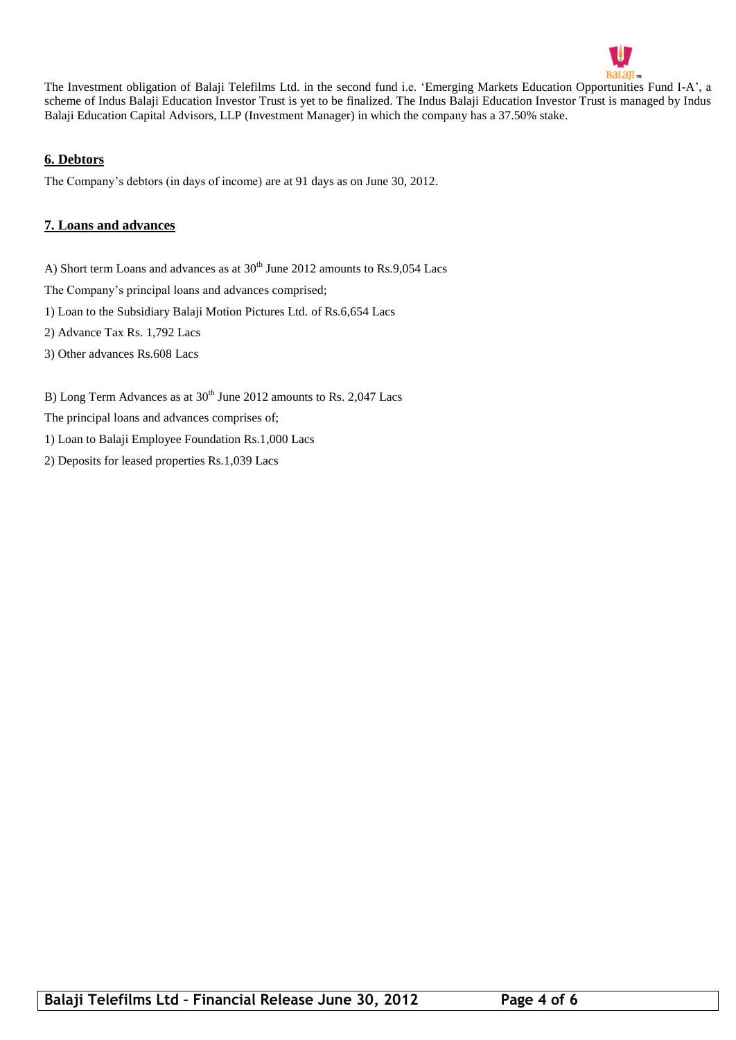

The Investment obligation of Balaji Telefilms Ltd. in the second fund i.e. 'Emerging Markets Education Opportunities Fund I-A', a scheme of Indus Balaji Education Investor Trust is yet to be finalized. The Indus Balaji Education Investor Trust is managed by Indus Balaji Education Capital Advisors, LLP (Investment Manager) in which the company has a 37.50% stake.

#### **6. Debtors**

The Company's debtors (in days of income) are at 91 days as on June 30, 2012.

#### **7. Loans and advances**

A) Short term Loans and advances as at  $30<sup>th</sup>$  June 2012 amounts to Rs.9,054 Lacs

The Company's principal loans and advances comprised;

1) Loan to the Subsidiary Balaji Motion Pictures Ltd. of Rs.6,654 Lacs

2) Advance Tax Rs. 1,792 Lacs

3) Other advances Rs.608 Lacs

B) Long Term Advances as at  $30<sup>th</sup>$  June 2012 amounts to Rs. 2,047 Lacs

The principal loans and advances comprises of;

1) Loan to Balaji Employee Foundation Rs.1,000 Lacs

2) Deposits for leased properties Rs.1,039 Lacs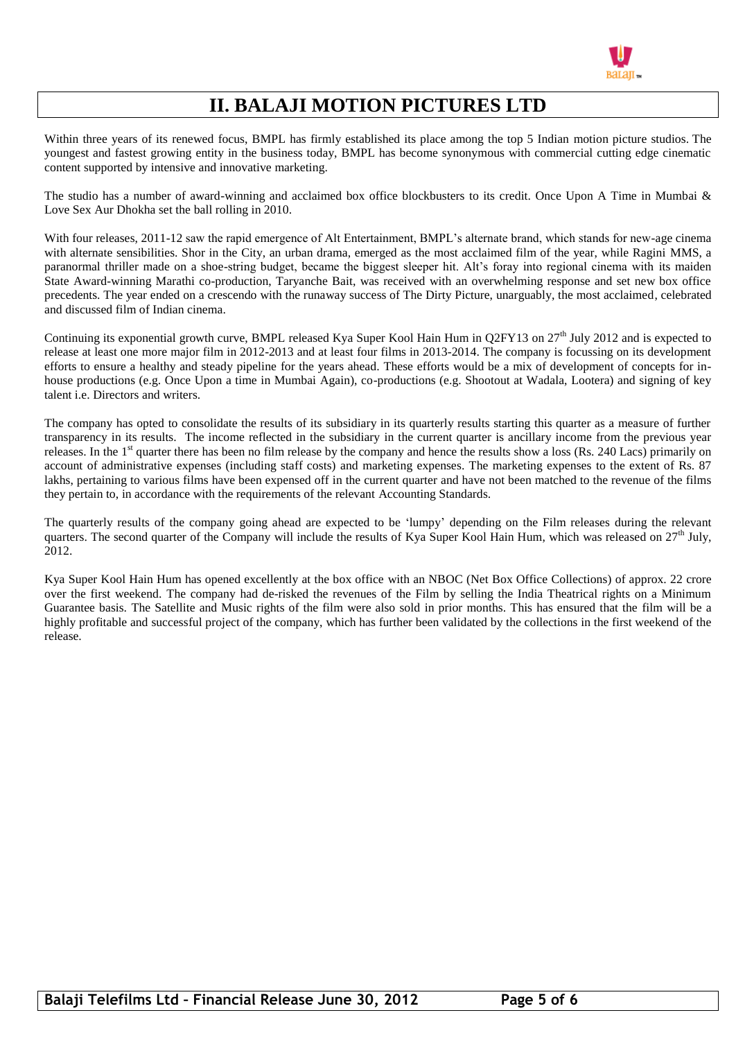

# **II. BALAJI MOTION PICTURES LTD**

Within three years of its renewed focus, BMPL has firmly established its place among the top 5 Indian motion picture studios. The youngest and fastest growing entity in the business today, BMPL has become synonymous with commercial cutting edge cinematic content supported by intensive and innovative marketing.

The studio has a number of award-winning and acclaimed box office blockbusters to its credit. Once Upon A Time in Mumbai & Love Sex Aur Dhokha set the ball rolling in 2010.

With four releases, 2011-12 saw the rapid emergence of Alt Entertainment, BMPL's alternate brand, which stands for new-age cinema with alternate sensibilities. Shor in the City, an urban drama, emerged as the most acclaimed film of the year, while Ragini MMS, a paranormal thriller made on a shoe-string budget, became the biggest sleeper hit. Alt's foray into regional cinema with its maiden State Award-winning Marathi co-production, Taryanche Bait, was received with an overwhelming response and set new box office precedents. The year ended on a crescendo with the runaway success of The Dirty Picture, unarguably, the most acclaimed, celebrated and discussed film of Indian cinema.

Continuing its exponential growth curve, BMPL released Kya Super Kool Hain Hum in Q2FY13 on  $27<sup>th</sup>$  July 2012 and is expected to release at least one more major film in 2012-2013 and at least four films in 2013-2014. The company is focussing on its development efforts to ensure a healthy and steady pipeline for the years ahead. These efforts would be a mix of development of concepts for inhouse productions (e.g. Once Upon a time in Mumbai Again), co-productions (e.g. Shootout at Wadala, Lootera) and signing of key talent i.e. Directors and writers.

The company has opted to consolidate the results of its subsidiary in its quarterly results starting this quarter as a measure of further transparency in its results. The income reflected in the subsidiary in the current quarter is ancillary income from the previous year releases. In the 1<sup>st</sup> quarter there has been no film release by the company and hence the results show a loss (Rs. 240 Lacs) primarily on account of administrative expenses (including staff costs) and marketing expenses. The marketing expenses to the extent of Rs. 87 lakhs, pertaining to various films have been expensed off in the current quarter and have not been matched to the revenue of the films they pertain to, in accordance with the requirements of the relevant Accounting Standards.

The quarterly results of the company going ahead are expected to be 'lumpy' depending on the Film releases during the relevant quarters. The second quarter of the Company will include the results of Kya Super Kool Hain Hum, which was released on  $27<sup>th</sup>$  July, 2012.

Kya Super Kool Hain Hum has opened excellently at the box office with an NBOC (Net Box Office Collections) of approx. 22 crore over the first weekend. The company had de-risked the revenues of the Film by selling the India Theatrical rights on a Minimum Guarantee basis. The Satellite and Music rights of the film were also sold in prior months. This has ensured that the film will be a highly profitable and successful project of the company, which has further been validated by the collections in the first weekend of the release.